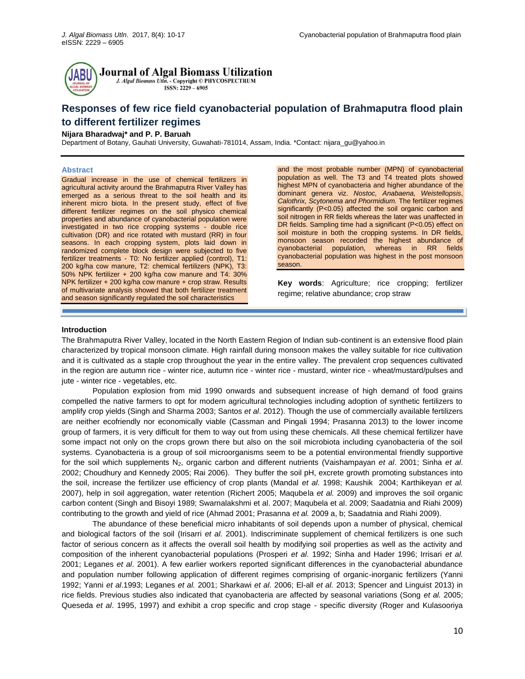

**Journal of Algal Biomass Utilization** 

J. Algal Biomass Utln. - Copyright © PHYCOSPECTRUM ISSN: 2229 - 6905

# **Responses of few rice field cyanobacterial population of Brahmaputra flood plain to different fertilizer regimes**

# **Nijara Bharadwaj\* and P. P. Baruah**

Department of Botany, Gauhati University, Guwahati-781014, Assam, India. \*Contact: [nijara\\_gu@yahoo.in](mailto:nijara_gu@yahoo.in)

## **Abstract**

Gradual increase in the use of chemical fertilizers in agricultural activity around the Brahmaputra River Valley has emerged as a serious threat to the soil health and its inherent micro biota. In the present study, effect of five different fertilizer regimes on the soil physico chemical properties and abundance of cyanobacterial population were investigated in two rice cropping systems - double rice cultivation (DR) and rice rotated with mustard (RR) in four seasons. In each cropping system, plots laid down in randomized complete block design were subjected to five fertilizer treatments - T0: No fertilizer applied (control), T1: 200 kg/ha cow manure, T2: chemical fertilizers (NPK), T3: 50% NPK fertilizer + 200 kg/ha cow manure and T4: 30% NPK fertilizer + 200 kg/ha cow manure + crop straw. Results of multivariate analysis showed that both fertilizer treatment and season significantly regulated the soil characteristics

and the most probable number (MPN) of cyanobacterial population as well. The T3 and T4 treated plots showed highest MPN of cyanobacteria and higher abundance of the dominant genera viz. *Nostoc, Anabaena, Weistellopsis*, *Calothrix, Scytonema and Phormidium.* The fertilizer regimes significantly (P<0.05) affected the soil organic carbon and soil nitrogen in RR fields whereas the later was unaffected in DR fields. Sampling time had a significant (P<0.05) effect on soil moisture in both the cropping systems. In DR fields, monsoon season recorded the highest abundance of cyanobacterial population, whereas in RR fields cyanobacterial population was highest in the post monsoon season.

**Key words**: Agriculture; rice cropping; fertilizer regime; relative abundance; crop straw

#### **Introduction**

The Brahmaputra River Valley, located in the North Eastern Region of Indian sub-continent is an extensive flood plain characterized by tropical monsoon climate. High rainfall during monsoon makes the valley suitable for rice cultivation and it is cultivated as a staple crop throughout the year in the entire valley. The prevalent crop sequences cultivated in the region are autumn rice - winter rice, autumn rice - winter rice - mustard, winter rice - wheat/mustard/pulses and jute - winter rice - vegetables, etc.

Population explosion from mid 1990 onwards and subsequent increase of high demand of food grains compelled the native farmers to opt for modern agricultural technologies including adoption of synthetic fertilizers to amplify crop yields (Singh and Sharma 2003; Santos *et al*. 2012). Though the use of commercially available fertilizers are neither ecofriendly nor economically viable (Cassman and Pingali 1994; Prasanna 2013) to the lower income group of farmers, it is very difficult for them to way out from using these chemicals. All these chemical fertilizer have some impact not only on the crops grown there but also on the soil microbiota including cyanobacteria of the soil systems. Cyanobacteria is a group of soil microorganisms seem to be a potential environmental friendly supportive for the soil which supplements N2, organic carbon and different nutrients (Vaishampayan *et al*. 2001; Sinha *et al*. 2002; Choudhury and Kennedy 2005; Rai 2006). They buffer the soil pH, excrete growth promoting substances into the soil, increase the fertilizer use efficiency of crop plants (Mandal *et al*. 1998; Kaushik 2004; Karthikeyan *et al.* 2007), help in soil aggregation, water retention (Richert 2005; Maqubela *et al.* 2009) and improves the soil organic carbon content (Singh and Bisoyi 1989; Swarnalakshmi et al. 2007; Maqubela et al. 2009; Saadatnia and Riahi 2009) contributing to the growth and yield of rice (Ahmad 2001; Prasanna *et al.* 2009 a, b; Saadatnia and Riahi 2009).

The abundance of these beneficial micro inhabitants of soil depends upon a number of physical, chemical and biological factors of the soil (Irisarri *et al.* 2001). Indiscriminate supplement of chemical fertilizers is one such factor of serious concern as it affects the overall soil health by modifying soil properties as well as the activity and composition of the inherent cyanobacterial populations (Prosperi *et al.* 1992; Sinha and Hader 1996; Irrisari *et al.* 2001; Leganes *et al*. 2001). A few earlier workers reported significant differences in the cyanobacterial abundance and population number following application of different regimes comprising of organic-inorganic fertilizers (Yanni 1992; Yanni *et al*.1993; Leganes *et al.* 2001; Sharkawi *et al.* 2006; El-all *et al.* 2013; Spencer and Linguist 2013) in rice fields. Previous studies also indicated that cyanobacteria are affected by seasonal variations (Song *et al.* 2005; Queseda *et al*. 1995, 1997) and exhibit a crop specific and crop stage - specific diversity (Roger and Kulasooriya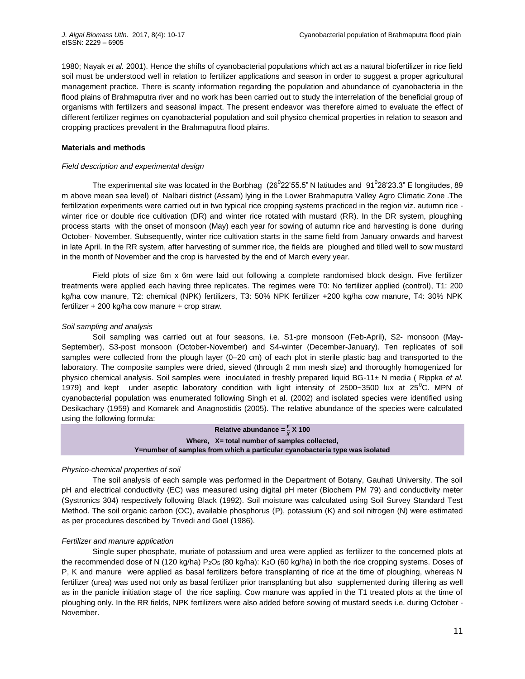1980; Nayak *et al.* 2001). Hence the shifts of cyanobacterial populations which act as a natural biofertilizer in rice field soil must be understood well in relation to fertilizer applications and season in order to suggest a proper agricultural management practice. There is scanty information regarding the population and abundance of cyanobacteria in the flood plains of Brahmaputra river and no work has been carried out to study the interrelation of the beneficial group of organisms with fertilizers and seasonal impact. The present endeavor was therefore aimed to evaluate the effect of different fertilizer regimes on cyanobacterial population and soil physico chemical properties in relation to season and cropping practices prevalent in the Brahmaputra flood plains.

## **Materials and methods**

## *Field description and experimental design*

The experimental site was located in the Borbhag (26 $^0$ 22'55.5" N latitudes and 91 $^0$ 28'23.3" E longitudes, 89 m above mean sea level) of Nalbari district (Assam) lying in the Lower Brahmaputra Valley Agro Climatic Zone .The fertilization experiments were carried out in two typical rice cropping systems practiced in the region viz. autumn rice winter rice or double rice cultivation (DR) and winter rice rotated with mustard (RR). In the DR system, ploughing process starts with the onset of monsoon (May) each year for sowing of autumn rice and harvesting is done during October- November. Subsequently, winter rice cultivation starts in the same field from January onwards and harvest in late April. In the RR system, after harvesting of summer rice, the fields are ploughed and tilled well to sow mustard in the month of November and the crop is harvested by the end of March every year.

Field plots of size 6m x 6m were laid out following a complete randomised block design. Five fertilizer treatments were applied each having three replicates. The regimes were T0: No fertilizer applied (control), T1: 200 kg/ha cow manure, T2: chemical (NPK) fertilizers, T3: 50% NPK fertilizer +200 kg/ha cow manure, T4: 30% NPK fertilizer + 200 kg/ha cow manure + crop straw.

## *Soil sampling and analysis*

Soil sampling was carried out at four seasons, i.e. S1-pre monsoon (Feb-April), S2- monsoon (May-September), S3-post monsoon (October-November) and S4-winter (December-January). Ten replicates of soil samples were collected from the plough layer (0–20 cm) of each plot in sterile plastic bag and transported to the laboratory. The composite samples were dried, sieved (through 2 mm mesh size) and thoroughly homogenized for physico chemical analysis. Soil samples were inoculated in freshly prepared liquid BG-11± N media ( Rippka *et al.*  1979) and kept under aseptic laboratory condition with light intensity of 2500~3500 lux at  $25^{\circ}$ C. MPN of cyanobacterial population was enumerated following Singh et al. (2002) and isolated species were identified using Desikachary (1959) and Komarek and Anagnostidis (2005). The relative abundance of the species were calculated using the following formula:

> **Relative abundance =**  $\frac{Y}{X}$  **X 100 Where, X= total number of samples collected, Y=number of samples from which a particular cyanobacteria type was isolated**

## *Physico-chemical properties of soil*

The soil analysis of each sample was performed in the Department of Botany, Gauhati University. The soil pH and electrical conductivity (EC) was measured using digital pH meter (Biochem PM 79) and conductivity meter (Systronics 304) respectively following Black (1992). Soil moisture was calculated using Soil Survey Standard Test Method. The soil organic carbon (OC), available phosphorus (P), potassium (K) and soil nitrogen (N) were estimated as per procedures described by Trivedi and Goel (1986).

## *Fertilizer and manure application*

Single super phosphate, muriate of potassium and urea were applied as fertilizer to the concerned plots at the recommended dose of N (120 kg/ha) P<sub>2</sub>O<sub>5</sub> (80 kg/ha): K<sub>2</sub>O (60 kg/ha) in both the rice cropping systems. Doses of P, K and manure were applied as basal fertilizers before transplanting of rice at the time of ploughing, whereas N fertilizer (urea) was used not only as basal fertilizer prior transplanting but also supplemented during tillering as well as in the panicle initiation stage of the rice sapling. Cow manure was applied in the T1 treated plots at the time of ploughing only. In the RR fields, NPK fertilizers were also added before sowing of mustard seeds i.e. during October - November.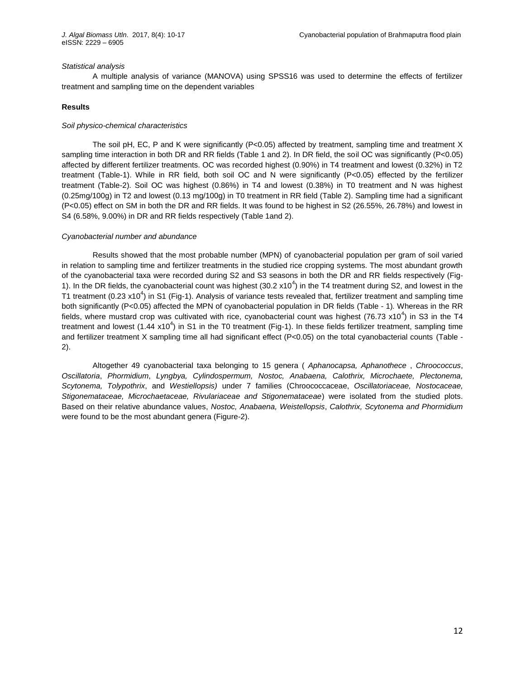#### *Statistical analysis*

A multiple analysis of variance (MANOVA) using SPSS16 was used to determine the effects of fertilizer treatment and sampling time on the dependent variables

## **Results**

### *Soil physico-chemical characteristics*

The soil pH, EC, P and K were significantly (P<0.05) affected by treatment, sampling time and treatment X sampling time interaction in both DR and RR fields (Table 1 and 2). In DR field, the soil OC was significantly (P<0.05) affected by different fertilizer treatments. OC was recorded highest (0.90%) in T4 treatment and lowest (0.32%) in T2 treatment (Table-1). While in RR field, both soil OC and N were significantly (P<0.05) effected by the fertilizer treatment (Table-2). Soil OC was highest (0.86%) in T4 and lowest (0.38%) in T0 treatment and N was highest (0.25mg/100g) in T2 and lowest (0.13 mg/100g) in T0 treatment in RR field (Table 2). Sampling time had a significant (P<0.05) effect on SM in both the DR and RR fields. It was found to be highest in S2 (26.55%, 26.78%) and lowest in S4 (6.58%, 9.00%) in DR and RR fields respectively (Table 1and 2).

#### *Cyanobacterial number and abundance*

Results showed that the most probable number (MPN) of cyanobacterial population per gram of soil varied in relation to sampling time and fertilizer treatments in the studied rice cropping systems. The most abundant growth of the cyanobacterial taxa were recorded during S2 and S3 seasons in both the DR and RR fields respectively (Fig-1). In the DR fields, the cyanobacterial count was highest (30.2  $x10^4$ ) in the T4 treatment during S2, and lowest in the T1 treatment (0.23 x10<sup>4</sup>) in S1 (Fig-1). Analysis of variance tests revealed that, fertilizer treatment and sampling time both significantly (P<0.05) affected the MPN of cyanobacterial population in DR fields (Table - 1)*.* Whereas in the RR fields, where mustard crop was cultivated with rice, cyanobacterial count was highest (76.73 x10<sup>4</sup>) in S3 in the T4 treatment and lowest (1.44 x10<sup>4</sup>) in S1 in the T0 treatment (Fig-1). In these fields fertilizer treatment, sampling time and fertilizer treatment X sampling time all had significant effect (P<0.05) on the total cyanobacterial counts (Table -2).

Altogether 49 cyanobacterial taxa belonging to 15 genera ( *Aphanocapsa, Aphanothece* , *Chroococcus*, *Oscillatoria*, *Phormidium*, *Lyngbya, Cylindospermum, Nostoc, Anabaena, Calothrix, Microchaete, Plectonema, Scytonema, Tolypothrix*, and *Westiellopsis)* under 7 families (Chroococcaceae, *Oscillatoriaceae, Nostocaceae, Stigonemataceae, Microchaetaceae, Rivulariaceae and Stigonemataceae*) were isolated from the studied plots. Based on their relative abundance values, *Nostoc, Anabaena, Weistellopsis*, *Calothrix, Scytonema and Phormidium* were found to be the most abundant genera (Figure-2).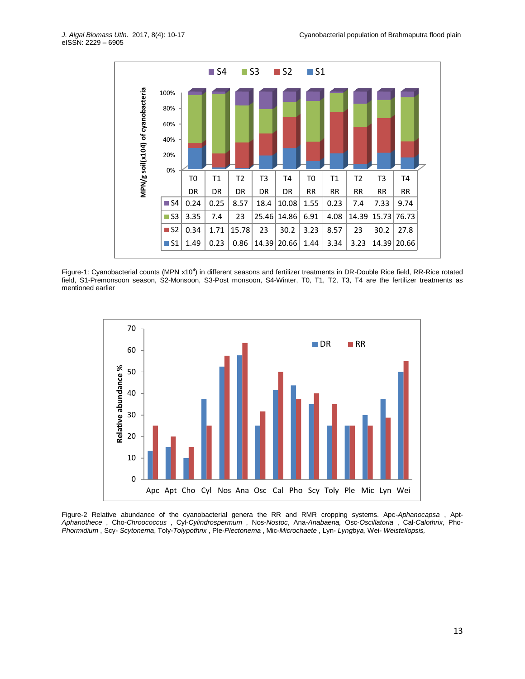

Figure-1: Cyanobacterial counts (MPN x10<sup>4</sup>) in different seasons and fertilizer treatments in DR-Double Rice field, RR-Rice rotated field, S1-Premonsoon season, S2-Monsoon, S3-Post monsoon, S4-Winter, T0, T1, T2, T3, T4 are the fertilizer treatments as mentioned earlier



Figure-2 Relative abundance of the cyanobacterial genera the RR and RMR cropping systems. Apc-*Aphanocapsa* , Apt-*Aphanothece* , Cho-*Chroococcus* , Cyl-*Cylindrospermum* , Nos-*Nostoc*, Ana-*Anabaena,* Osc-*Oscillatoria* , Cal-*Calothrix*, Pho-*Phormidium* , Scy- *Scytonema*, Toly-*Tolypothrix* , Ple-*Plectonema* , Mic-*Microchaete* , Lyn- *Lyngbya,* Wei- *Weistellopsis,*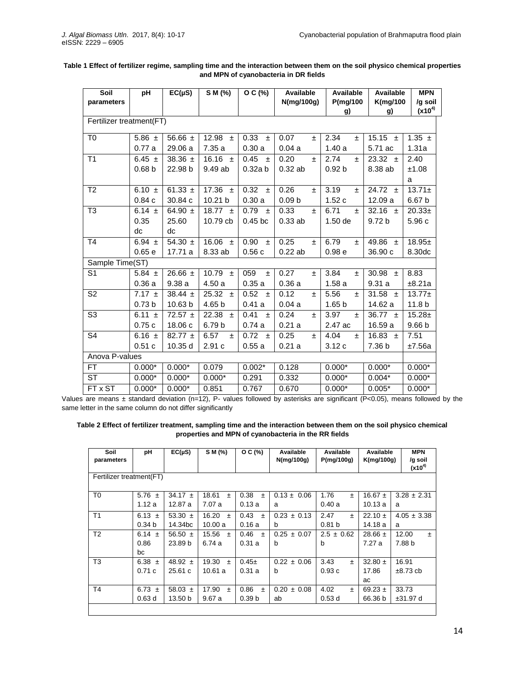| Soil<br>parameters       | рH                | $EC(\mu S)$ | S M (%)        | O C (%)       | Available<br>N(mg/100g) | Available<br>P(mg/100<br>g) | Available<br><b>K(mg/100</b><br>g) | <b>MPN</b><br>/g soil<br>$(x10^{4})$ |
|--------------------------|-------------------|-------------|----------------|---------------|-------------------------|-----------------------------|------------------------------------|--------------------------------------|
| Fertilizer treatment(FT) |                   |             |                |               |                         |                             |                                    |                                      |
| T <sub>0</sub>           | 5.86 $\pm$        | 56.66 $\pm$ | 12.98<br>$\pm$ | 0.33<br>$\pm$ | 0.07<br>±.              | 2.34<br>$\pm$               | $\overline{15.15}$ ±               | 1.35 $\pm$                           |
|                          | 0.77a             | 29.06a      | 7.35a          | 0.30a         | 0.04a                   | 1.40a                       | 5.71 ac                            | 1.31a                                |
| T1                       | 6.45 $\pm$        | 38.36 $\pm$ | 16.16 $\pm$    | $0.45 \pm$    | 0.20<br>$\pm$           | 2.74<br>$\pm$               | $23.32 \pm$                        | 2.40                                 |
|                          | 0.68 <sub>b</sub> | 22.98 b     | 9.49 ab        | 0.32a b       | 0.32ab                  | 0.92 <sub>b</sub>           | 8.38 ab                            | ±1.08                                |
|                          |                   |             |                |               |                         |                             |                                    | a                                    |
| T <sub>2</sub>           | 6.10 $\pm$        | 61.33 $\pm$ | 17.36 $\pm$    | $0.32 \pm$    | 0.26<br>$\pm$           | 3.19<br>$\pm$               | 24.72 $\pm$                        | $13.71 \pm$                          |
|                          | 0.84c             | 30.84 c     | 10.21 b        | 0.30a         | 0.09 <sub>b</sub>       | 1.52c                       | 12.09 a                            | 6.67 b                               |
| T <sub>3</sub>           | 6.14 $\pm$        | 64.90 $\pm$ | 18.77 $\pm$    | 0.79<br>$\pm$ | 0.33<br>$\pm$           | 6.71<br>$\pm$               | 32.16 $\pm$                        | $20.33+$                             |
|                          | 0.35              | 25.60       | 10.79 cb       | $0.45$ bc     | $0.33$ ab               | $1.50$ de                   | 9.72 b                             | 5.96 c                               |
|                          | dc                | dc          |                |               |                         |                             |                                    |                                      |
| T <sub>4</sub>           | 6.94 $\pm$        | 54.30 $\pm$ | 16.06 $\pm$    | $0.90 +$      | 0.25<br>$\pm$           | 6.79<br>$\pm$               | 49.86 $\pm$                        | $18.95+$                             |
|                          | 0.65 e            | 17.71 a     | 8.33 ab        | 0.56c         | 0.22ab                  | 0.98 <sub>e</sub>           | 36.90 c                            | 8.30dc                               |
| Sample Time(ST)          |                   |             |                |               |                         |                             |                                    |                                      |
| S <sub>1</sub>           | 5.84 $\pm$        | 26.66 $\pm$ | 10.79 $\pm$    | 059<br>$\pm$  | 0.27<br>±.              | 3.84<br>玉                   | 30.98 $\pm$                        | 8.83                                 |
|                          | 0.36a             | 9.38a       | 4.50a          | 0.35a         | 0.36a                   | 1.58a                       | 9.31a                              | ±8.21a                               |
| S <sub>2</sub>           | $7.17 \pm$        | 38.44 $\pm$ | 25.32<br>$\pm$ | $0.52 \pm$    | 0.12<br>$\pm$           | 5.56<br>$\pm$               | 31.58 $\pm$                        | $13.77+$                             |
|                          | 0.73 <sub>b</sub> | 10.63 b     | 4.65 b         | 0.41a         | 0.04a                   | 1.65 <sub>b</sub>           | 14.62 a                            | 11.8 <sub>b</sub>                    |
| S <sub>3</sub>           | 6.11 $\pm$        | $72.57 \pm$ | 22.38 $\pm$    | 0.41<br>$\pm$ | 0.24<br>$\pm$           | 3.97<br>$\pm$               | 36.77 $\pm$                        | $15.28 \pm$                          |
|                          | 0.75c             | 18.06 c     | 6.79 b         | 0.74a         | 0.21a                   | 2.47 ac                     | 16.59 a                            | 9.66 b                               |
| S <sub>4</sub>           | 6.16 $\pm$        | $82.77 \pm$ | 6.57<br>$\pm$  | $0.72 \pm$    | 0.25<br>$\pm$           | 4.04<br>±.                  | 16.83 $\pm$                        | 7.51                                 |
|                          | 0.51c             | 10.35 d     | 2.91c          | 0.55a         | 0.21a                   | 3.12c                       | 7.36 b                             | ±7.56a                               |
| Anova P-values           |                   |             |                |               |                         |                             |                                    |                                      |
| FT.                      | $0.000*$          | $0.000*$    | 0.079          | $0.002*$      | 0.128                   | $0.000*$                    | $0.000*$                           | $0.000*$                             |
| <b>ST</b>                | $0.000*$          | $0.000*$    | $0.000*$       | 0.291         | 0.332                   | $0.000*$                    | $0.004*$                           | $0.000*$                             |
| FT x ST                  | $0.000*$          | $0.000*$    | 0.851          | 0.767         | 0.670                   | $0.000*$                    | $0.005*$                           | $0.000*$                             |

## **Table 1 Effect of fertilizer regime, sampling time and the interaction between them on the soil physico chemical properties and MPN of cyanobacteria in DR fields**

Values are means ± standard deviation (n=12), P- values followed by asterisks are significant (P<0.05), means followed by the same letter in the same column do not differ significantly

**Table 2 Effect of fertilizer treatment, sampling time and the interaction between them on the soil physico chemical properties and MPN of cyanobacteria in the RR fields**

| Soil<br>parameters       | рH                | $EC(\mu S)$        | S M (%)        | $O C$ (%)         | Available<br>N(mg/100g) | Available<br>P(mg/100g) | Available<br>K(mg/100g) | <b>MPN</b><br>/g soil<br>$(x10^{4})$ |  |
|--------------------------|-------------------|--------------------|----------------|-------------------|-------------------------|-------------------------|-------------------------|--------------------------------------|--|
| Fertilizer treatment(FT) |                   |                    |                |                   |                         |                         |                         |                                      |  |
| T <sub>0</sub>           | 5.76 $\pm$        | 34.17 $\pm$        | 18.61<br>$\pm$ | 0.38<br>$\pm$     | $0.13 \pm 0.06$         | 1.76<br>$\ddot{}$       | $16.67 \pm$             | $3.28 \pm 2.31$                      |  |
|                          | 1.12a             | 12.87a             | 7.07a          | 0.13a             | a                       | 0.40a                   | 10.13a                  | a                                    |  |
| T <sub>1</sub>           | 6.13 $\pm$        | 53.30 $\pm$        | 16.20<br>$\pm$ | 0.43<br>$\pm$     | $0.23 \pm 0.13$         | 2.47<br>$+$             | $22.10 \pm$             | $4.05 \pm 3.38$                      |  |
|                          | 0.34 <sub>b</sub> | 14.34bc            | 10.00a         | 0.16a             | b                       | 0.81 <sub>b</sub>       | 14.18 a                 | a                                    |  |
| T <sub>2</sub>           | 6.14 $\pm$        | 56.50 $\pm$        | 15.56<br>$\pm$ | 0.46<br>$\pm$     | $0.25 \pm 0.07$         | $2.5 \pm 0.62$          | $28.66 \pm$             | 12.00<br>$\pm$                       |  |
|                          | 0.86              | 23.89 <sub>b</sub> | 6.74a          | 0.31a             | b                       | b                       | 7.27a                   | 7.88 b                               |  |
|                          | bc                |                    |                |                   |                         |                         |                         |                                      |  |
| T <sub>3</sub>           | 6.38 $\pm$        | 48.92 $\pm$        | 19.30<br>$\pm$ | $0.45+$           | $0.22 \pm 0.06$         | 3.43<br>$+$             | $32.80 \pm$             | 16.91                                |  |
|                          | 0.71c             | 25.61c             | 10.61 a        | 0.31a             | b                       | 0.93c                   | 17.86                   | $\pm 8.73$ cb                        |  |
|                          |                   |                    |                |                   |                         |                         | ac                      |                                      |  |
| T <sub>4</sub>           | 6.73 $\pm$        | 58.03 $\pm$        | 17.90<br>$\pm$ | 0.86<br>$\pm$     | $0.20 \pm 0.08$         | 4.02<br>$+$             | 69.23 $\pm$             | 33.73                                |  |
|                          | 0.63 <sub>d</sub> | 13.50 b            | 9.67a          | 0.39 <sub>b</sub> | ab                      | 0.53d                   | 66.36 b                 | ±31.97d                              |  |
|                          |                   |                    |                |                   |                         |                         |                         |                                      |  |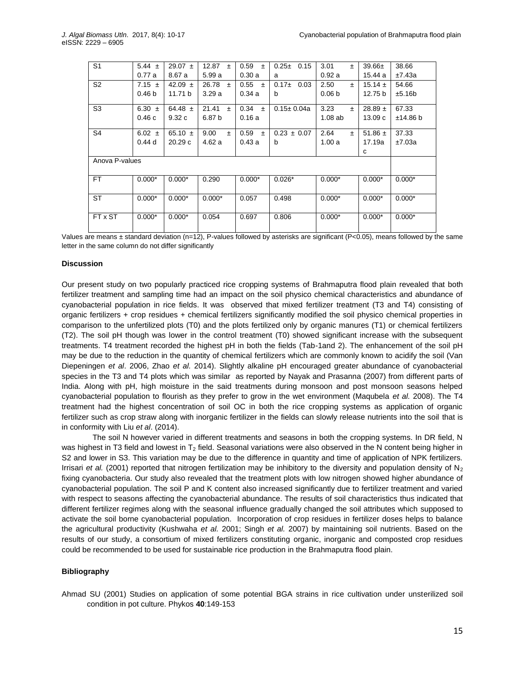| S <sub>1</sub> | 5.44 $\pm$        | $29.07 \pm$ | 12.87<br>$\pm$ | 0.59<br>$\pm$ | $0.25 \pm$<br>0.15 | 3.01<br>$\pm$     | $39.66 \pm$ | 38.66    |
|----------------|-------------------|-------------|----------------|---------------|--------------------|-------------------|-------------|----------|
|                | 0.77a             | 8.67 a      | 5.99a          | 0.30a         | a                  | 0.92a             | 15.44 a     | ±7.43a   |
| S <sub>2</sub> | 7.15 $\pm$        | 42.09 $\pm$ | 26.78<br>$\pm$ | 0.55<br>$\pm$ | $0.17+$<br>0.03    | 2.50<br>$\pm$     | $15.14 \pm$ | 54.66    |
|                | 0.46 <sub>b</sub> | 11.71 b     | 3.29a          | 0.34a         | b                  | 0.06 <sub>b</sub> | 12.75 b     | ±5.16b   |
|                |                   |             |                |               |                    |                   |             |          |
| S <sub>3</sub> | 6.30 $\pm$        | 64.48 $\pm$ | 21.41<br>$\pm$ | 0.34<br>$\pm$ | $0.15 \pm 0.04a$   | 3.23<br>$\pm$     | $28.89 \pm$ | 67.33    |
|                | 0.46c             | 9.32c       | 6.87 b         | 0.16a         |                    | 1.08ab            | 13.09c      | ±14.86 b |
|                |                   |             |                |               |                    |                   |             |          |
| S <sub>4</sub> | 6.02 $\pm$        | 65.10 $\pm$ | 9.00<br>$\pm$  | 0.59<br>$\pm$ | $0.23 \pm 0.07$    | 2.64<br>$\pm$     | 51.86 $\pm$ | 37.33    |
|                | 0.44d             | 20.29c      | 4.62 a         | 0.43a         | b                  | 1.00a             | 17.19a      | ±7.03a   |
|                |                   |             |                |               |                    |                   | C           |          |
| Anova P-values |                   |             |                |               |                    |                   |             |          |
|                |                   |             |                |               |                    |                   |             |          |
| FT.            | $0.000*$          | $0.000*$    | 0.290          | $0.000*$      | $0.026*$           | $0.000*$          | $0.000*$    | $0.000*$ |
|                |                   |             |                |               |                    |                   |             |          |
| <b>ST</b>      | $0.000*$          | $0.000*$    | $0.000*$       | 0.057         | 0.498              | $0.000*$          | $0.000*$    | $0.000*$ |
|                |                   |             |                |               |                    |                   |             |          |
|                |                   |             |                |               |                    |                   |             |          |
| FT x ST        | $0.000*$          | $0.000*$    | 0.054          | 0.697         | 0.806              | $0.000*$          | $0.000*$    | $0.000*$ |
|                |                   |             |                |               |                    |                   |             |          |

Values are means ± standard deviation (n=12), P-values followed by asterisks are significant (P<0.05), means followed by the same letter in the same column do not differ significantly

#### **Discussion**

Our present study on two popularly practiced rice cropping systems of Brahmaputra flood plain revealed that both fertilizer treatment and sampling time had an impact on the soil physico chemical characteristics and abundance of cyanobacterial population in rice fields. It was observed that mixed fertilizer treatment (T3 and T4) consisting of organic fertilizers + crop residues + chemical fertilizers significantly modified the soil physico chemical properties in comparison to the unfertilized plots (T0) and the plots fertilized only by organic manures (T1) or chemical fertilizers (T2). The soil pH though was lower in the control treatment (T0) showed significant increase with the subsequent treatments. T4 treatment recorded the highest pH in both the fields (Tab-1and 2). The enhancement of the soil pH may be due to the reduction in the quantity of chemical fertilizers which are commonly known to acidify the soil (Van Diepeningen *et al*. 2006, Zhao *et al.* 2014). Slightly alkaline pH encouraged greater abundance of cyanobacterial species in the T3 and T4 plots which was similar as reported by Nayak and Prasanna (2007) from different parts of India. Along with pH, high moisture in the said treatments during monsoon and post monsoon seasons helped cyanobacterial population to flourish as they prefer to grow in the wet environment (Maqubela *et al.* 2008). The T4 treatment had the highest concentration of soil OC in both the rice cropping systems as application of organic fertilizer such as crop straw along with inorganic fertilizer in the fields can slowly release nutrients into the soil that is in conformity with Liu *et al*. (2014).

The soil N however varied in different treatments and seasons in both the cropping systems. In DR field, N was highest in T3 field and lowest in T<sub>2</sub> field. Seasonal variations were also observed in the N content being higher in S2 and lower in S3. This variation may be due to the difference in quantity and time of application of NPK fertilizers. Irrisari *et al.* (2001) reported that nitrogen fertilization may be inhibitory to the diversity and population density of  $N_2$ fixing cyanobacteria. Our study also revealed that the treatment plots with low nitrogen showed higher abundance of cyanobacterial population. The soil P and K content also increased significantly due to fertilizer treatment and varied with respect to seasons affecting the cyanobacterial abundance. The results of soil characteristics thus indicated that different fertilizer regimes along with the seasonal influence gradually changed the soil attributes which supposed to activate the soil borne cyanobacterial population. Incorporation of crop residues in fertilizer doses helps to balance the agricultural productivity (Kushwaha *et al.* 2001; Singh *et al.* 2007) by maintaining soil nutrients. Based on the results of our study, a consortium of mixed fertilizers constituting organic, inorganic and composted crop residues could be recommended to be used for sustainable rice production in the Brahmaputra flood plain.

## **Bibliography**

Ahmad SU (2001) Studies on application of some potential BGA strains in rice cultivation under unsterilized soil condition in pot culture. Phykos **40**:149-153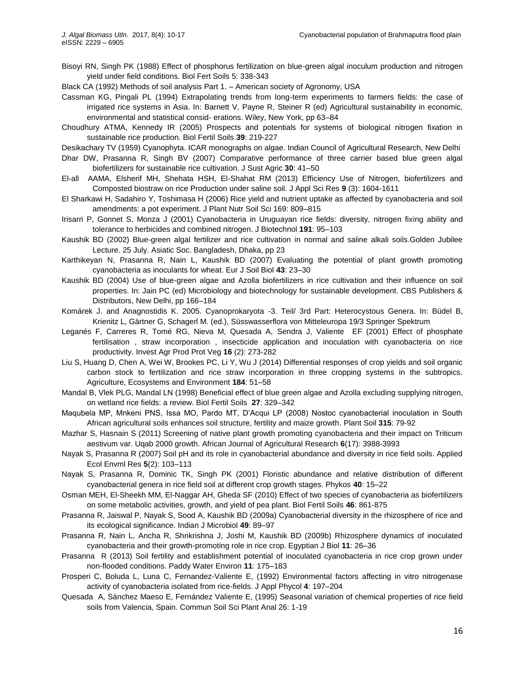Bisoyi RN, Singh PK (1988) Effect of phosphorus fertilization on blue-green algal inoculum production and nitrogen yield under field conditions. Biol Fert Soils 5: 338-343

Black CA (1992) Methods of soil analysis Part 1. – American society of Agronomy, USA

- Cassman KG, Pingali PL (1994) Extrapolating trends from long-term experiments to farmers fields: the case of irrigated rice systems in Asia. In: Barnett V, Payne R, Steiner R (ed) Agricultural sustainability in economic, environmental and statistical consid- erations. Wiley, New York, pp 63–84
- Choudhury ATMA, Kennedy IR (2005) Prospects and potentials for systems of biological nitrogen fixation in sustainable rice production. Biol Fertil Soils **39**: 219-227

Desikachary TV (1959) Cyanophyta. ICAR monographs on algae. Indian Council of Agricultural Research, New Delhi

- Dhar DW, Prasanna R, Singh BV (2007) Comparative performance of three carrier based blue green algal biofertilizers for sustainable rice cultivation. J Sust Agric **30**: 41–50
- El-all AAMA, Elsherif MH, Shehata HSH, El-Shahat RM (2013) Efficiency Use of Nitrogen, biofertilizers and Composted biostraw on rice Production under saline soil. J Appl Sci Res **9** (3): 1604-1611
- El Sharkawi H, Sadahiro Y, Toshimasa H (2006) Rice yield and nutrient uptake as affected by cyanobacteria and soil amendments: a pot experiment. J Plant Nutr Soil Sci 169: 809–815
- Irisarri P, Gonnet S, Monza J (2001) Cyanobacteria in Uruguayan rice fields: diversity, nitrogen fixing ability and tolerance to herbicides and combined nitrogen. J Biotechnol **191**: 95–103
- Kaushik BD (2002) Blue-green algal fertilizer and rice cultivation in normal and saline alkali soils.Golden Jubilee Lecture. 25 July. Asiatic Soc. Bangladesh, Dhaka, pp 23
- Karthikeyan N, Prasanna R, Nain L, Kaushik BD (2007) Evaluating the potential of plant growth promoting cyanobacteria as inoculants for wheat. Eur J Soil Biol **43**: 23–30
- Kaushik BD (2004) Use of blue-green algae and Azolla biofertilizers in rice cultivation and their influence on soil properties. In: Jain PC (ed) Microbiology and biotechnology for sustainable development. CBS Publishers & Distributors, New Delhi, pp 166–184
- Komárek J. and Anagnostidis K. 2005. Cyanoprokaryota -3. Teil/ 3rd Part: Heterocystous Genera. In: Büdel B, Krienitz L, Gärtner G, Schagerl M. (ed.), Süsswasserflora von Mitteleuropa 19/3 Springer Spektrum
- Leganés F, Carreres R, Tomé RG, Nieva M, Quesada A, Sendra J, Valiente EF (2001) Effect of phosphate fertilisation , straw incorporation , insecticide application and inoculation with cyanobacteria on rice productivity. Invest Agr Prod Prot Veg **16** (2): 273-282
- Liu S, Huang D, Chen A, Wei W, Brookes PC, Li Y, Wu J (2014) Differential responses of crop yields and soil organic carbon stock to fertilization and rice straw incorporation in three cropping systems in the subtropics. Agriculture, Ecosystems and Environment **184**: 51–58
- Mandal B, Vlek PLG, Mandal LN (1998) Beneficial effect of blue green algae and Azolla excluding supplying nitrogen, on wetland rice fields: a review. Biol Fertil Soils **27**: 329–342
- Maqubela MP, Mnkeni PNS, Issa MO, Pardo MT, D'Acqui LP (2008) Nostoc cyanobacterial inoculation in South African agricultural soils enhances soil structure, fertility and maize growth. Plant Soil **315**: 79-92
- Mazhar S, Hasnain S (2011) Screening of native plant growth promoting cyanobacteria and their impact on Triticum aestivum var. Uqab 2000 growth. African Journal of Agricultural Research **6**(17): 3988-3993
- Nayak S, Prasanna R (2007) Soil pH and its role in cyanobacterial abundance and diversity in rice field soils. Applied Ecol Envml Res **5**(2): 103–113
- Nayak S, Prasanna R, Dominic TK, Singh PK (2001) Floristic abundance and relative distribution of different cyanobacterial genera in rice field soil at different crop growth stages. Phykos **40**: 15–22
- Osman MEH, El-Sheekh MM, El-Naggar AH, Gheda SF (2010) Effect of two species of cyanobacteria as biofertilizers on some metabolic activities, growth, and yield of pea plant. Biol Fertil Soils **46**: 861-875
- Prasanna R, Jaiswal P, Nayak S, Sood A, Kaushik BD (2009a) Cyanobacterial diversity in the rhizosphere of rice and its ecological significance. Indian J Microbiol **49**: 89–97
- Prasanna R, Nain L, Ancha R, Shrikrishna J, Joshi M, Kaushik BD (2009b) Rhizosphere dynamics of inoculated cyanobacteria and their growth-promoting role in rice crop. Egyptian J Biol **11**: 26–36
- Prasanna R (2013) Soil fertility and establishment potential of inoculated cyanobacteria in rice crop grown under non-flooded conditions. Paddy Water Environ **11**: 175–183
- Prosperi C, Boluda L, Luna C, Fernandez-Valiente E, (1992) Environmental factors affecting in vitro nitrogenase activity of cyanobacteria isolated from rice-fields. J Appl Phycol **4**: 197–204
- Quesada A, Sánchez Maeso E, Fernández Valiente E, (1995) Seasonal variation of chemical properties of rice field soils from Valencia, Spain. Commun Soil Sci Plant Anal 26: 1-19